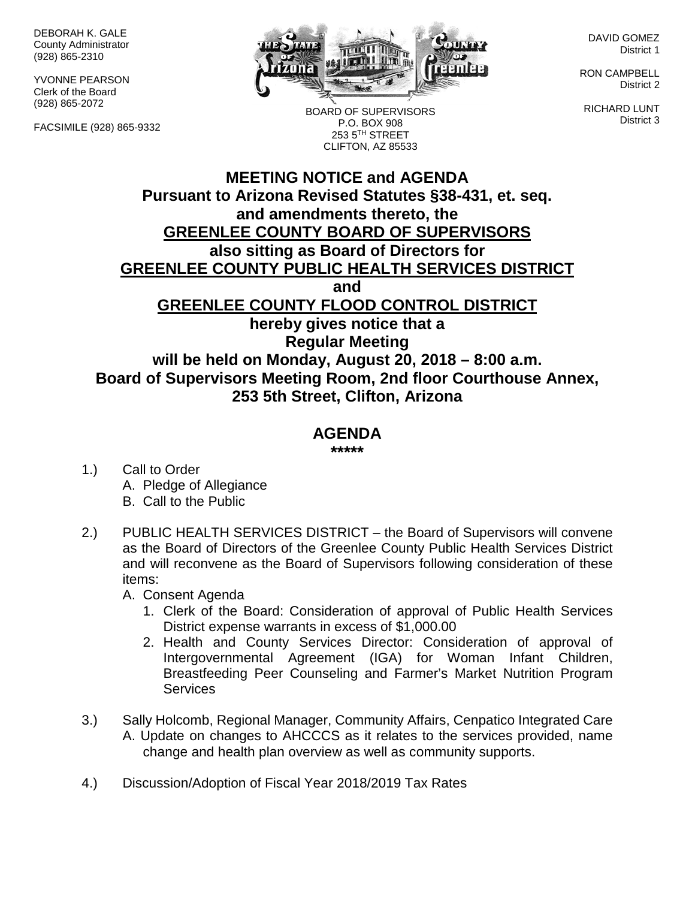DEBORAH K. GALE County Administrator (928) 865-2310

YVONNE PEARSON Clerk of the Board (928) 865-2072

FACSIMILE (928) 865-9332



BOARD OF SUPERVISORS P.O. BOX 908 253 5TH STREET

DAVID GOMEZ District 1

RON CAMPBELL District 2

RICHARD LUNT District 3

## **MEETING NOTICE and AGENDA Pursuant to Arizona Revised Statutes §38-431, et. seq. and amendments thereto, the GREENLEE COUNTY BOARD OF SUPERVISORS also sitting as Board of Directors for GREENLEE COUNTY PUBLIC HEALTH SERVICES DISTRICT and GREENLEE COUNTY FLOOD CONTROL DISTRICT hereby gives notice that a Regular Meeting will be held on Monday, August 20, 2018 – 8:00 a.m. Board of Supervisors Meeting Room, 2nd floor Courthouse Annex, 253 5th Street, Clifton, Arizona** CLIFTON, AZ 85533

## **AGENDA**

**\*\*\*\*\***

- 1.) Call to Order A. Pledge of Allegiance B. Call to the Public
- 2.) PUBLIC HEALTH SERVICES DISTRICT the Board of Supervisors will convene as the Board of Directors of the Greenlee County Public Health Services District and will reconvene as the Board of Supervisors following consideration of these items:
	- A. Consent Agenda
		- 1. Clerk of the Board: Consideration of approval of Public Health Services District expense warrants in excess of \$1,000.00
		- 2. Health and County Services Director: Consideration of approval of Intergovernmental Agreement (IGA) for Woman Infant Children, Breastfeeding Peer Counseling and Farmer's Market Nutrition Program **Services**
- 3.) Sally Holcomb, Regional Manager, Community Affairs, Cenpatico Integrated Care A. Update on changes to AHCCCS as it relates to the services provided, name change and health plan overview as well as community supports.
- 4.) Discussion/Adoption of Fiscal Year 2018/2019 Tax Rates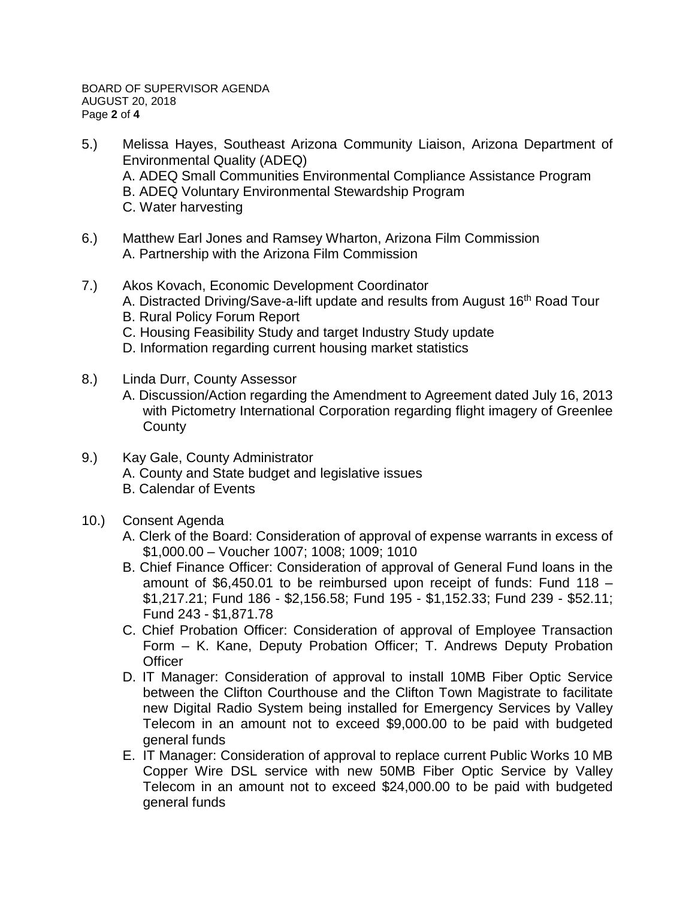- 5.) Melissa Hayes, Southeast Arizona Community Liaison, Arizona Department of Environmental Quality (ADEQ) A. ADEQ Small Communities Environmental Compliance Assistance Program B. ADEQ Voluntary Environmental Stewardship Program C. Water harvesting
- 6.) Matthew Earl Jones and Ramsey Wharton, Arizona Film Commission A. Partnership with the Arizona Film Commission
- 7.) Akos Kovach, Economic Development Coordinator
	- A. Distracted Driving/Save-a-lift update and results from August 16<sup>th</sup> Road Tour
	- B. Rural Policy Forum Report
	- C. Housing Feasibility Study and target Industry Study update
	- D. Information regarding current housing market statistics
- 8.) Linda Durr, County Assessor
	- A. Discussion/Action regarding the Amendment to Agreement dated July 16, 2013 with Pictometry International Corporation regarding flight imagery of Greenlee **County**
- 9.) Kay Gale, County Administrator A. County and State budget and legislative issues B. Calendar of Events
- 10.) Consent Agenda
	- A. Clerk of the Board: Consideration of approval of expense warrants in excess of \$1,000.00 – Voucher 1007; 1008; 1009; 1010
	- B. Chief Finance Officer: Consideration of approval of General Fund loans in the amount of \$6,450.01 to be reimbursed upon receipt of funds: Fund 118 – \$1,217.21; Fund 186 - \$2,156.58; Fund 195 - \$1,152.33; Fund 239 - \$52.11; Fund 243 - \$1,871.78
	- C. Chief Probation Officer: Consideration of approval of Employee Transaction Form – K. Kane, Deputy Probation Officer; T. Andrews Deputy Probation **Officer**
	- D. IT Manager: Consideration of approval to install 10MB Fiber Optic Service between the Clifton Courthouse and the Clifton Town Magistrate to facilitate new Digital Radio System being installed for Emergency Services by Valley Telecom in an amount not to exceed \$9,000.00 to be paid with budgeted general funds
	- E. IT Manager: Consideration of approval to replace current Public Works 10 MB Copper Wire DSL service with new 50MB Fiber Optic Service by Valley Telecom in an amount not to exceed \$24,000.00 to be paid with budgeted general funds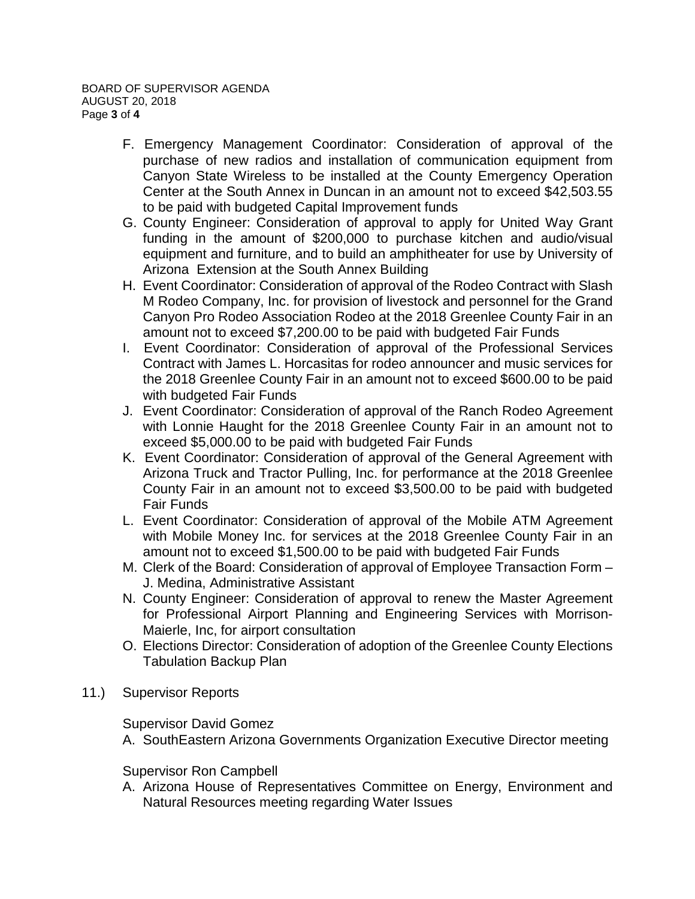- F. Emergency Management Coordinator: Consideration of approval of the purchase of new radios and installation of communication equipment from Canyon State Wireless to be installed at the County Emergency Operation Center at the South Annex in Duncan in an amount not to exceed \$42,503.55 to be paid with budgeted Capital Improvement funds
- G. County Engineer: Consideration of approval to apply for United Way Grant funding in the amount of \$200,000 to purchase kitchen and audio/visual equipment and furniture, and to build an amphitheater for use by University of Arizona Extension at the South Annex Building
- H. Event Coordinator: Consideration of approval of the Rodeo Contract with Slash M Rodeo Company, Inc. for provision of livestock and personnel for the Grand Canyon Pro Rodeo Association Rodeo at the 2018 Greenlee County Fair in an amount not to exceed \$7,200.00 to be paid with budgeted Fair Funds
- I. Event Coordinator: Consideration of approval of the Professional Services Contract with James L. Horcasitas for rodeo announcer and music services for the 2018 Greenlee County Fair in an amount not to exceed \$600.00 to be paid with budgeted Fair Funds
- J. Event Coordinator: Consideration of approval of the Ranch Rodeo Agreement with Lonnie Haught for the 2018 Greenlee County Fair in an amount not to exceed \$5,000.00 to be paid with budgeted Fair Funds
- K. Event Coordinator: Consideration of approval of the General Agreement with Arizona Truck and Tractor Pulling, Inc. for performance at the 2018 Greenlee County Fair in an amount not to exceed \$3,500.00 to be paid with budgeted Fair Funds
- L. Event Coordinator: Consideration of approval of the Mobile ATM Agreement with Mobile Money Inc. for services at the 2018 Greenlee County Fair in an amount not to exceed \$1,500.00 to be paid with budgeted Fair Funds
- M. Clerk of the Board: Consideration of approval of Employee Transaction Form J. Medina, Administrative Assistant
- N. County Engineer: Consideration of approval to renew the Master Agreement for Professional Airport Planning and Engineering Services with Morrison-Maierle, Inc, for airport consultation
- O. Elections Director: Consideration of adoption of the Greenlee County Elections Tabulation Backup Plan
- 11.) Supervisor Reports

Supervisor David Gomez

A. SouthEastern Arizona Governments Organization Executive Director meeting

Supervisor Ron Campbell

A. Arizona House of Representatives Committee on Energy, Environment and Natural Resources meeting regarding Water Issues